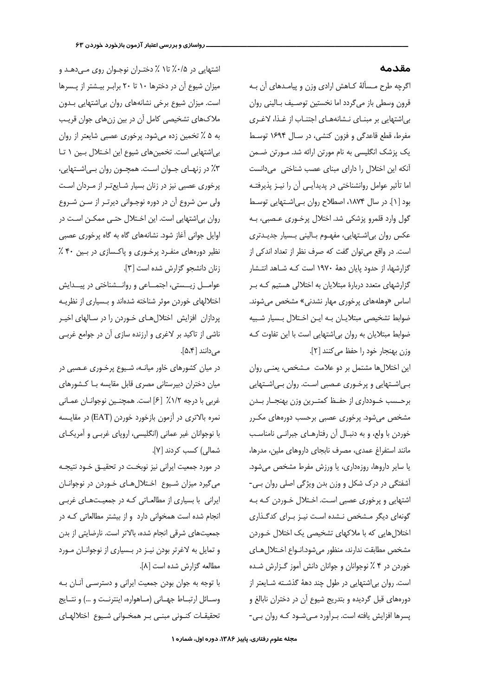اگرچه طرح مـسألهٔ کـاهش ارادی وزن و پیامـدهای آن بـه قرون وسطى باز مى گردد اما نخستين توصيف بـالينى روان بی اشتهایی بر مبنای نشانههای اجتناب از غذا، لاغری مفرط، قطع قاعدگی و فزون کنشی، در سال ۱۶۹۴ توسط یک پزشک انگلیسی به نام مورتن ارائه شد. مــورتن ضــمن آنکه این اختلال را دارای مبنای عصب شناختی می دانست اما تأثیر عوامل روانشناختی در پدیدآیـی آن را نیـز پذیرفتـه بود [۱]. در سال ۱۸۷۴، اصطلاح روان بی|شتهایی توسط گول وارد قلمرو پزشکی شد. اختلال پرخـوری عـصبی، بـه عکس روان بی اشتهایی، مفهوم بالینی بسیار جدیدتری است. در واقع می توان گفت که صرف نظر از تعداد اندکی از گزارشها، از حدود پایان دههٔ ۱۹۷۰ است کـه شـاهد انتـشار گزارشهای متعدد دربارهٔ مبتلایان به اختلالی هستیم کـه بـر اساس «وهلههای پرخوری مهار نشدنی» مشخص می شوند. ضوابط تشخیصی مبتلایان به این اختلال بسیار شبیه ضوابط مبتلایان به روان بی|شتهایی است با این تفاوت کـه وزن بهنجار خود را حفظ می کنند [٢].

این اختلالها مشتمل بر دو علامت مشخص، یعنبی روان بی|شتهایی و پرخوری عصبی است. روان بی|شتهایی برحـسب خــودداري از حفــظ كمتــرين وزن بهنجــار بــدن مشخص میشود. پرخوری عصبی برحسب دورههای مکـرر خوردن با ولع، و به دنبـال آن رفتارهـای جبرانـی نامناسـب مانند استفراغ عمدى، مصرف نابجاي داروهاي ملين، مدرها، یا سایر داروها، روزهداری، یا ورزش مفرط مشخص میشود. آشفتگی در درک شکل و وزن بدن ویژگی اصلی روان بی-اشتهایی و پرخوری عصبی است. اختلال خـوردن کـه بـه گونهای دیگر مـشخص نـشده اسـت نیـز بـرای کدگـذاری اختلال هایی که با ملاکهای تشخیصی یک اختلال خـوردن مشخص مطابقت ندارند، منظور می شود.انـواع اخـتلال هـای خوردن در ۴ ٪ نوجوانان و جوانان دانش آموز گـزارش شـده است. روان بی اشتهایی در طول چند دههٔ گذشته شایعتر از دورههای قبل گردیده و بتدریج شیوع آن در دختران نابالغ و پسرها افزایش یافته است. برآورد مهیشود که روان بهی-

اشتهایی در ۰/۵٪ تا۱ ٪ دختـران نوجـوان روی مـی،دهـد و میزان شیوع آن در دخترها ۱۰ تا ۲۰ برابـر بیـشتر از پـسرها است. میزان شیوع برخی نشانههای روان بی اشتهایی بـدون ملاکهای تشخیصی کامل آن در بین زنهای جوان قریب به ۵ ٪ تخمین زده میشود. پرخوری عصبی شایعتر از روان بی|شتهایی است. تخمینهای شیوع این اختلال بین ١ تـا ۴٪ در زنهــای جــوان اســت. همچــون روان بــی|شــتهایی، پرخوری عصبی نیز در زنان بسیار شـایعتـر از مـردان اسـت ولی سن شروع آن در دوره نوجوانی دیرتر از سن شروع روان بی اشتهایی است. این اختلال حتی ممکن است در اوایل جوانی آغاز شود. نشانههای گاه به گاه پرخوری عصبی نظیر دورههای منفرد پرخوری و پاکسازی در بین ۴۰٪ زنان دانشجو گزارش شده است [۳].

عوامـــل زيـــستى، اجتمـــاعى و روانـــشناختى در پيـــدايش اختلالهای خوردن موثر شناخته شدهاند و بـسیاری از نظریـه یردازان افزایش اختلال هـای خـوردن را در سـالهای اخیـر ناشی از تاکید بر لاغری و ارزنده سازی آن در جوامع غربی مے دانند [۵،۴].

در میان کشورهای خاور میانـه، شـیوع پرخـوری عـصبی در میان دختران دبیرستانی مصری قابل مقایسه با کشورهای غربي با درجه ١/٢٪ [۶] است. همچنـين نوجوانـان عمـاني نمره بالاترى در آزمون بازخورد خوردن (EAT) در مقايسه با نوجوانان غیر عمانی (انگلیسی، اروپای غربے و آمریکـای شمالی) کسب کردند [۷].

در مورد جمعیت ایرانی نیز نوبخـت در تحقیـق خــود نتیجــه می گیرد میزان شیوع اختلال های خوردن در نوجوانان ایرانی با بسیاری از مطالعاتی که در جمعیتهای غربی انجام شده است همخوانی دارد و از بیشتر مطالعاتی که در جمعیتهای شرقی انجام شده، بالاتر است. نارضایتی از بدن و تمایل به لاغرتر بودن نیـز در بـسیاری از نوجوانـان مـورد مطالعه گزارش شده است [۸].

با توجه به جوان بودن جمعیت ایرانی و دسترسـی آنان بـه وسـائل ارتبــاط جهــاني (مــاهواره، اينترنــت و ...) و نتــايج تحقيقات كنونى مبنى بر همخوانى شيوع اختلالهاى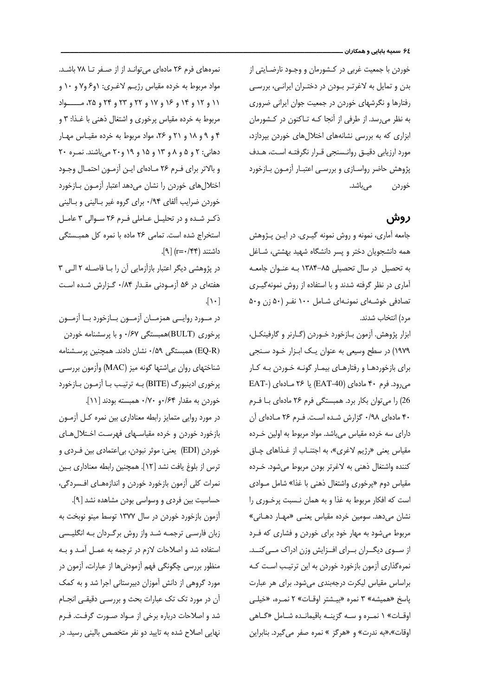خوردن با جمعیت غربی در کـشورمان و وجـود نارضـایتی از بدن و تمایل به لاغرتـر بـودن در دختـران ایرانـی، بررسـی رفتارها و نگرشهای خوردن در جمعیت جوان ایرانی ضروری به نظر می رسد. از طرفی از آنجا کـه تـاکنون در کـشورمان ابزاری که به بررسی نشانههای اختلال های خوردن بپردازد، مورد ارزیابی دقیـق روانـسنجی قـرار نگرفتـه اسـت، هـدف پژوهش حاضر رواسـازی و بررسـی اعتبـار آزمـون بـازخورد مے باشد. خوردن

## روش

جامعه آماری، نمونه و روش نمونه گیـری. در ایـن پـژوهش همه دانشجویان دختر و پسر دانشگاه شهید بهشتی، شـاغل به تحصیل در سال تحصیلی ۸۵–۱۳۸۴ بـه عنـوان جامعـه آماری در نظر گرفته شدند و با استفاده از روش نمونهگیری تصادفی خوشـهای نمونـهای شـامل ۱۰۰ نفـر (۵۰ زن و۵۰ مرد) انتخاب شدند.

ابزار پژوهش. آزمون بازخورد خـوردن (گـارنر و گارفينكـل، ١٩٧٩) در سطح وسیعی به عنوان یـک ابـزار خـود سـنجی برای بازخوردهـا و رفتارهـای بیمـار گونـه خـوردن بـه کـار می رود. فرم ۴۰ مادهای (EAT-40) یا ۲۶ مادهای (EAT-26) را می توان بکار برد. همبستگی فرم ۲۶ مادهای بـا فـرم ۴۰ مادهای ۰/۹۸ گزارش شده است. فرم ۲۶ مادهای آن دارای سه خرده مقیاس میباشد. مواد مربوط به اولین خـرده مقياس يعني «رژيم لاغري»، به اجتنــاب از غــذاهاي چــاق كننده واشتغال ذهني به لاغرتر بودن مربوط مىشود. خـرده مقیاس دوم «پرخوری واشتغال ذهنی با غذا» شامل مـوادی است که افکار مربوط به غذا و به همان نـسبت پرخـورى را نشان میدهد. سومین خرده مقیاس یعنـی «مهـار دهـانی» مربوط می شود به مهار خود برای خوردن و فشاری که فـرد از سـوی دیگـران بـرای افـزایش وزن ادراک مـی کنــد. نمرهگذاری آزمون بازخورد خوردن به این ترتیب است کـه براساس مقیاس لیکرت درجهبندی میشود. برای هر عبارت پاسخ «همیشه» ۳ نمره «بیـشتر اوقـات» ۲ نمـره، «خیلـی اوقـات» ۱ نمـره و سـه گزینـه باقیمانـده شـامل «گـاهی اوقات»،«به ندرت» و «هرگز » نمره صفر می گیرد. بنابراین

نمرههای فرم ٢۶ مادهای می توانـد از از صـفر تــا ٧٨ باشـد. مواد مربوط به خرده مقیاس رژیــم لاغــری: ۱و۶ و۷ و ۱۰ و ١١ و ١٢ و ١٤ و ١۶ و ١٧ و ٢٢ و ٢٣ و ٢٩ و ٢۵، مــــــواد مربوط به خرده مقیاس پرخوری و اشتغال ذهنی با غـذا: ۳ و ۴ و ۹ و ۱۸ و ۲۱ و ۲۶، مواد مربوط به خرده مقیاس مهار دهانی: ۲ و ۵ و ۸ و ۱۳ و ۱۵ و ۱۹ و ۲۰ میباشند. نمره ۲۰ و بالاتر برای فـرم ۲۶ مـادهای ایـن آزمـون احتمـال وجـود اختلال های خوردن را نشان می دهد اعتبار آزمون بازخورد خوردن ضرایب آلفای ۰/۹۴ برای گروه غیر بـالینی و بـالینی ذکر شده و در تحلیل عاملی فرم ۲۶ سوالی ۳ عامل استخراج شده است. تمامی ٢۶ ماده با نمره کل همبستگی داشتند (r=٠/۴۴) [۹].

در پژوهشی دیگر اعتبار بازآزمایی آن را بـا فاصـله ۲ الـی ۳ هفتهای در ۵۶ آزمودنی مقدار ۰/۸۴ گزارش شده است  $\lceil \cdot \rceil$ 

در مـورد روايــي همزمــان آزمــون بــازخورد بــا آزمــون پرخوری (BULT)همبستگی ۰/۶۷ و با پرسشنامه خوردن (EQ-R) همبستگی ۰/۵۹ نشان دادند. همچنین پرسـشنامه شناختهای روان بی|شتها گونه میز (MAC) وآزمون بررسـی پرخوری ادینبورگ (BITE) به ترتیب با آزمون بازخورد خوردن به مقدار ۶۴/۰و ۰/۷۰ همبسته بودند [۱۱].

در مورد روایی متمایز رابطه معناداری بین نمره کـل آزمـون بازخورد خوردن و خرده مقیاسـهای فهرسـت اخـتلال هـای خوردن (EDI) یعنی: موثر نبودن، بی|عتمادی بین فـردی و ترس از بلوغ يافت نشد [١٢]. همچنين رابطه معناداري بين نمرات كلي آزمون بازخورد خوردن و اندازههـاي افـسردگي،

حساسیت بین فردی و وسواسی بودن مشاهده نشد [۹]. آزمون بازخورد خوردن در سال ۱۳۷۷ توسط مینو نوبخت به زبان فارسے، ترجمـه شـد واز روش برگـردان بـه انگلیـسی استفاده شد و اصلاحات لازم در ترجمه به عمـل آمـد و بـه منظور بررسی چگونگی فهم آزمودنی ها از عبارات، آزمون در مورد گروهی از دانش آموزان دبیرستانی اجرا شد و به کمک آن در مورد تک تک عبارات بحث و بررسـي دقيقـي انجـام شد و اصلاحات درباره برخی از مـواد صـورت گرفـت. فـرم نهایی اصلاح شده به تایید دو نفر متخصص بالینی رسید. در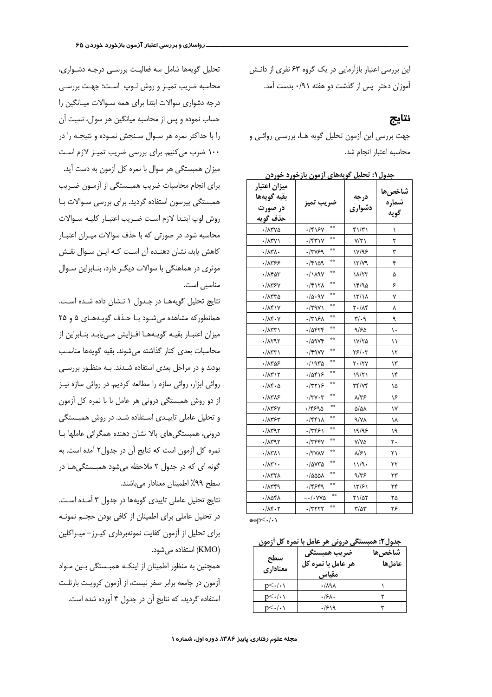این بررسی اعتبار بازآزمایی در یک گروه ۶۳ نفری از دانــش آموزان دختر پس از گذشت دو هفته ۹۱/۰ بدست آمد.

## نتايج

جهت بررسی این آزمون تحلیل گویه هـا، بررسـی روائـی و محاسبه اعتبار انحام شد.

| ميزان اعتبار<br>بقيه گويهها<br>در صورت<br>حذف گويه | ضريب تميز                  | درجه<br>دشواري         | شاخصها<br>شماره<br>گويه |
|----------------------------------------------------|----------------------------|------------------------|-------------------------|
| ۰/۸۳۷۵                                             | 奈奈<br>۰/۴۱۶۷               | ۴۱/۳۱                  | ١                       |
| ۰/۸۳۷۱                                             | 奈良<br>۰/۴۳۱۷               | ۷/۲۱                   | ٢                       |
| ۰/۸۳۸۰                                             | 奈奈<br>/٣٧۶٩                | ۱۷/۹۶                  | ٣                       |
| ۰/۸۳۶۶                                             | **<br>۱۵۹/۰/۴              | $17/\gamma$            | ۴                       |
| ۰/۸۴۵۳                                             | e e<br>۰/۱۸۹۷              | 18/7٣                  | ۵                       |
| ۰/۸۳۶۷                                             | 奈奈<br>۰/۴۱۲۸               | ۱۴/۹۵                  | ۶                       |
| ۳۳۳۵-                                              | ۰/۵۰۹۷                     | $\frac{17}{11}$        | ٧                       |
| ۰/۸۴۱۷                                             | 奈奈<br>$\cdot$ /٣٩٧١        | ۲۰/۸۴                  | ٨                       |
| $\cdot/\lambda$ ۴۰۷                                | 奈良<br>۰/۳۱۶۸               | ۳/۰۹                   | ٩                       |
| ۰/۸۳۳۱                                             | 杂杂<br>۰/۵۴۲۴               | ۹/۶۵                   | ۱۰                      |
| ۰/۸۲۹۲                                             | 森森<br>$\cdot$ /0984        | ۱۷/۲۵                  | ۱۱                      |
| ۰/۸۳۳۱                                             | 森森<br>./۴9.VV              | ۲۶/۰۳                  | ۱۲                      |
| ۵۶-۱۸۳۵                                            | 奈良<br>۱۹۳۵.                | ۲۰/۲۷                  | ۱۳                      |
| ۰/۸۳۱۲                                             | 楽楽<br>.70815               | ۱۹/۲۱                  | ۱۴                      |
| ۰/۸۴۰۵                                             | 奈良<br>۰/۳۲۱۶               | 74/74                  | ۱۵                      |
| ۱۸۳۸۶                                              | 奈幸<br>$\cdot$ /۳ $\vee$ ۰۳ | ۸/۳۶                   | ۱۶                      |
| ·/۸۳۶۷                                             | **<br>٢۶٩٥.                | $\Delta/\Delta\lambda$ | ۱۷                      |
| ۰/۸۳۶۳                                             | 会会<br>۰/۴۴۱۸               | 9/VA                   | ۱۸                      |
| $\cdot$ / $\Lambda$ ۳۹۲                            | **<br>۰/۳۴۶۱               | ۱۹/۹۶                  | ۱۹                      |
| $\cdot$ /1۳95                                      | 奈奈<br>۰/۳۴۴۷               | V/VQ                   | ٢٠                      |
| ۰/۸۳۸۱                                             | 会会<br>$\cdot$ /٣٧٨٧        | $\lambda/\mathcal{F}$  | ۲۱                      |
| ۰/۸۳۱۰                                             | 奈奈<br>./avra               | ۱۱/۹۰                  | ۲۲                      |
| ۰/۸۳۲۸                                             | 奈奈<br>۰/۵۵۵۸               | 9/75                   | ۲۳                      |
| ۳۴۹/۰                                              | **<br>۰/۴۶۴۹               | ۱۳/۶۱                  | ۲۴                      |
| ۰/۸۵۴۸                                             | 奈奈<br>$-\cdot/\cdot$ YYA   | ۲۱/۵۲                  | ۲۵                      |
| ۰/۸۴۰۲                                             | 音音<br>۰/۳۲۲۲               | $\frac{1}{2}$          | ۲۶                      |

حدول (: تحليل گويههاي أزمون بازخورد خوردن

\*\*p<./.\

## جدول۲: همبستگی درونی هر عامل با نمره کل آزمون

| سطح<br>معناداري   | ضريب همبستگي<br>هر عامل با نمره کل<br>مقتاس | شاخصها<br>عاملها |
|-------------------|---------------------------------------------|------------------|
| $p<\cdot/\cdot$ ) | ۸۹۸.                                        |                  |
| $p<\cdot/\cdot$ ) | .56.                                        |                  |
| $p<\cdot/\cdot$ ) | ۱۶۱۹                                        |                  |

تحلیل گویهها شامل سه فعالیت بررسی درجـه دشـواری، محاسبه ضریب تمیـز و روش لـوپ اسـت؛ جهـت بررسـی درجه دشواری سوالات ابتدا برای همه ســوالات میــانگین را حساب نموده و پس از محاسبه میانگین هر سوال، نسبت آن را با حداکثر نمره هر سـوال سـنجش نمـوده و نتيجـه را در ۱۰۰ ضرب می کنیم. برای بررسی ضریب تمیـز لازم اسـت میزان همبستگی هر سوال با نمره کل آزمون به دست آید. برای انجام محاسبات ضریب همبستگی از آزمون ضریب همبستگی پیرسون استفاده گردید. برای بررسی سـوالات بـا روش لوپ ابتـدا لازم اسـت ضـريب اعتبـار كليـه سـوالات محاسبه شود. در صورتی که با حذف سوالات میـزان اعتبـار كاهش يابد، نشان دهنـده آن اسـت كـه ايـن سـوال نقـش موثری در هماهنگی با سوالات دیگـر دارد، بنـابراین سـوال مناسبی است.

نتايج تحليل گويهها در جدول ١ نشان داده شده است. همانطور که مشاهده می شود با حذف گویـههـای ۵ و ۲۵ میزان اعتبـار بقیـه گویـههـا افـزایش مـیuابـد بنـابراین از محاسبات بعدى كنار گذاشته مى شوند. بقيه گويهها مناسب بودند و در مراحل بعدی استفاده شدند. بـه منظور بررسـی روائی ابزار، روائی سازه را مطالعه کردیم. در روائی سازه نیز از دو روش همبستگی درونی هر عامل با با نمره کل آزمون و تحلیل عاملی تاییـدی اسـتفاده شـد. در روش همبـستگی درونی، همبستگیهای بالا نشان دهنده همگرائی عاملها بـا نمره كل آزمون است كه نتايج آن در جدول۲ آمده است. به گونه ای که در جدول ۲ ملاحظه میشود همبستگی ا در سطح ٩٩٪ اطمينان معنادار مي باشند.

نتايج تحليل عاملي تاييدي گويهها در جدول ٣ آمده است. در تحلیل عاملی برای اطمینان از کافی بودن حجــم نمونــه برای تحلیل از آزمون کفایت نمونهبرداری کیـرز- میـراکلین (KMO) استفاده مے شود.

همچنین به منظور اطمینان از اینکـه همبـستگی بـین مـواد آزمون در جامعه برابر صفر نیست، از آزمون کرویت بارتلت استفاده گردید، که نتایج آن در جدول ۴ آورده شده است.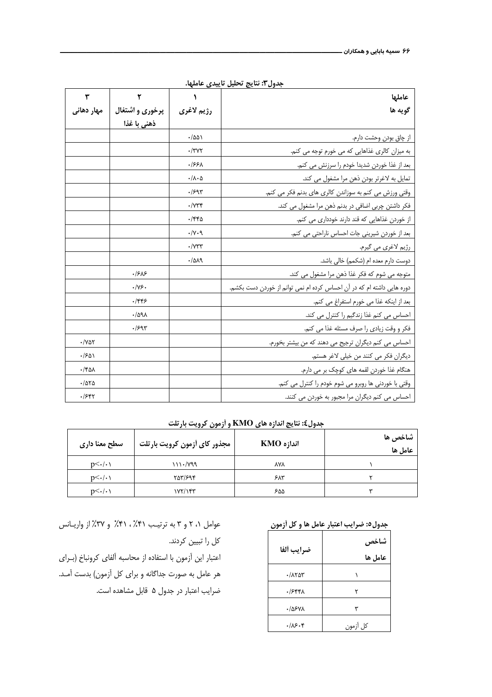| ٣                                | ۲                 |                            | عاملها                                                                 |
|----------------------------------|-------------------|----------------------------|------------------------------------------------------------------------|
| مهار دهانی                       | پرخوری و اشتغال   | رژيم لاغري                 | گويه ها                                                                |
|                                  | ذهنی با غذا       |                            |                                                                        |
|                                  |                   | ۱۵۵۱.                      | از چاق بودن وحشت دارم.                                                 |
|                                  |                   | $\cdot$ /٣٧٢               | به میزان کالری غذاهایی که می خورم توجه می کنم.                         |
|                                  |                   | ۰/۶۶۸                      | بعد از غذا خوردن شديدا خودم را سرزنش مى كنم.                           |
|                                  |                   | $\cdot/\lambda\cdot\Delta$ | تمایل به لاغرتر بودن ذهن مرا مشغول می کند.                             |
|                                  |                   | .1597                      | وقتی ورزش می کنم به سوزاندن کالری های بدنم فکر می کنم.                 |
|                                  |                   | $\cdot$ / $\gamma$ ۳۴      | فکر داشتن چربی اضافی در بدنم ذهن مرا مشغول می کند.                     |
|                                  |                   | $\cdot$ /۴۴۵               | از خوردن غذاهایی که قند دارند خودداری می کنم.                          |
|                                  |                   | $\cdot/\gamma \cdot$ 9     | بعد از خوردن شیرینی جات احساس ناراحتی می کنم.                          |
|                                  |                   | $\cdot$ / $\vee \vee \vee$ | رژيم لاغري مي گيرم.                                                    |
|                                  |                   | .7019                      | دوست دارم معده ام (شکمم) خالی باشد.                                    |
|                                  | .198              |                            | متوجه مي شوم كه فكر غذا ذهن مرا مشغول مي كند.                          |
|                                  | $\cdot/\gamma$ ۶. |                            | دوره هایی داشته ام که در آن احساس کرده ام نمی توانم از خوردن دست بکشم. |
|                                  | .755              |                            | بعد از اینکه غذا می خورم استفراغ می کنم.                               |
|                                  | $\cdot$ /091      |                            | احساس می کنم غذا زندگیم را کنترل می کند.                               |
|                                  | .799              |                            | فكر و وقت زيادي را صرف مسئله غذا مي كنم.                               |
| $\cdot$ / $\vee$ $\circ$ $\circ$ |                   |                            | احساس می کنم دیگران ترجیح می دهند که من بیشتر بخورم.                   |
| .1501                            |                   |                            | ديگران فكر مي كنند من خيلي لاغر هستم.                                  |
| ۰/۴۵۸                            |                   |                            | هنگام غذا خوردن لقمه های کوچک بر می دارم.                              |
| .788                             |                   |                            | وقتي با خوردني ها روبرو مي شوم خودم را كنترل مي كنم.                   |
| .1587                            |                   |                            | احساس می کنم دیگران مرا مجبور به خوردن می کنند.                        |

جدول٣: نتايج تحليل تاييدي عاملها.

جدول£: نتايج اندازه هاي KMO و آزمون كرويت بارتلت

| سطح معنا داری     | مجذور كاي أزمون كرويت بارتلت | اندازه KMO | شاخ <i>ص ها</i><br>عامل ها |
|-------------------|------------------------------|------------|----------------------------|
| $p<\cdot/\cdot$ ) | ۱۱۱۰/۷۹۹                     | <b>AYA</b> |                            |
| $p<\cdot/\cdot$ ) | 757/894                      | ۶۸۳        |                            |
| $p<\cdot/\cdot\$  | ۱۷۲/۱۴۳                      | ۵۵۶        | سه                         |

## جدول٥: ضرايب اعتبار عامل ها و كل أزمون

| ضرايب ألفا    | شاخص<br>عامل ها |
|---------------|-----------------|
| ۰/۸۲۵۳        |                 |
| ۰/۶۴۴۸        |                 |
| <b>./0۶VA</b> | ٣               |
| ۰/۸۶۰۴        | كل أزمون        |

عوامل ۰، ۲ و ۳ به ترتیب ۴۱٪، ۴۱٪ و ۳۷٪ از واریانس كل را تبيين كردند.

اعتبار این آزمون با استفاده از محاسبه آلفای کرونباخ (بـرای هر عامل به صورت جداگانه و برای کل آزمون) بدست آمـد. ضرایب اعتبار در جدول ۵ قابل مشاهده است.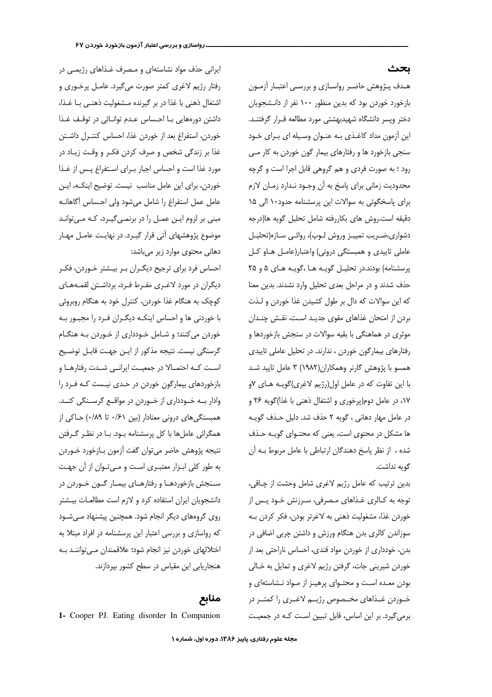هـدف پـژوهش حاضـر رواسـازي و بررسـي اعتبـار آزمـون بازخورد خوردن بود که بدین منظور ۱۰۰ نفر از دانـشجویان دختر وپسر دانشگاه شهیدبهشتی مورد مطالعه قـرار گرفتنـد. این آزمون مداد کاغـذی بـه عنـوان وسـیله ای بـرای خـود سنجی بازخورد ها و رفتارهای بیمار گون خوردن به کار مـی رود ؛ به صورت فردی و هم گروهی قابل اجرا است و گرچه محدودیت زمانی برای پاسخ به آن وجـود نـدارد زمـان لازم برای پاسخگوئی به سوالات این پرسشنامه حدود ۱۰ الی ۱۵ دقیقه است.روش های بکاررفته شامل تحلیل گویه ها(درجه دشواری،ضـریب تمییـز وروش لـوپ)، روائـی سـازه(تحليـل عاملي تاييدي و همبستگي دروني) واعتبار(عامـل هــاو كــل پرسشنامه) بودند.در تحلیـل گویـه هـا ،گویـه هـای ۵ و ۲۵ حذف شدند و در مراحل بعدی تحلیل وارد نشدند. بدین معنا كه اين سوالات كه دال بر طول كشيدن غذا خوردن و لـذت بردن از امتحان غذاهای مقوی جدیـد اسـت، نقـش چنـدان موثری در هماهنگی با بقیه سوالات در سنجش بازخوردها و رفتارهای بیمارگون خوردن ، ندارند. در تحلیل عاملی تاییدی همسو با پژوهش گارنر وهمکاران(۱۹۸۲) ۳ عامل تایید شـد با این تفاوت که در عامل اول(رژیم لاغری)گویـه هـای ۷و ١٧، در عامل دوم(پرخوري و اشتغال ذهني با غذا)گويه ٢۶ و در عامل مهار دهانی ، گویه ۲ حذف شد. دلیل حـذف گویـه ها مشکل در محتوی است، یعنی که محتـوای گویـه حـذف شده ، از نظر پاسخ دهندگان ارتباطی با عامل مربوط بـه آن گويه نداشت.

بدین ترتیب که عامل رژیم لاغری شامل وحشت از چاقی، توجه به كـالري غـذاهاي مـصرفي، سـرزنش خـود پـس از خوردن غذا، مشغوليت ذهني به لاغرتر بودن، فكر كردن بـه سوزاندن کالری بدن هنگام ورزش و داشتن چربی اضافی در بدن، خودداری از خوردن مواد قندی، احساس ناراحتی بعد از خوردن شیرینی جات، گرفتن رژیم لاغری و تمایل به خـالی بودن معده است و محتوای پرهیز از مواد نشاستهای و خــوردن غــذاهای مخــصوص رژیــم لاغــری را کمتــر در برمی گیرد. بر این اساس، قابل تبیین است کـه در جمعیـت

ایرانی حذف مواد نشاستهای و مصرف غذاهای رژیمی در رفتار رژیم لاغری کمتر صورت میگیرد. عامـل پرخـوری و اشتغال ذهني با غذا در بر گيرنده مـشغوليت ذهنـي بـا غـذا، داشتن دورههایی با احساس عدم توانائی در توقف غذا خوردن، استفراغ بعد از خوردن غذا، احساس كنتـرل داشـتن غذا بر زندگی شخص و صرف کردن فکـر و وقـت زيـاد در مورد غذا است و احساس اجبار بهرای استفراغ پیس از غـذا خوردن، برای این عامل مناسب نیست. توضیح اینکـه، ایـن عامل عمل استفراغ را شامل میشود ولی احساس آگاهانـه مبنی بر لزوم این عمل را در برنمی گیرد، کـه مـ ،توانـد موضوع پژوهشهای آتی قرار گیـرد. در نهایـت عامـل مهـار دھانی محتوی موارد زیر می باشد:

احساس فرد برای ترجیح دیگـران بـر بیـشتر خـوردن، فکـر دیگران در مورد لاغـری مفـرط فـرد، برداشـتن لقمـههـای کوچک به هنگام غذا خوردن، کنترل خود به هنگام روبروئی با خوردنی ها و احساس اینکـه دیگـران فـرد را مجبـور بـه خوردن میکنند؛ و شـامل خـودداری از خـوردن بـه هنگـام گرسنگی نیست. نتیجه مذکور از ایـن جهـت قابـل توضـیح است کـه احتمـالا در جمعيـت ايرانــي شــدت رفتارهــا و بازخوردهای بیمارگون خوردن در حدی نیست که فرد را وادار بــه خــودداري از خــوردن در مواقــع گرســنگي كنــد. همبستگی های درونی معنادار (بین ۶۱/۰ تا ۰/۸۹) حـاکی از همگرائی عاملها با کل پرسشنامه بـود. بـا در نظـر گـرفتن نتيجه پژوهش حاضر ميتوان گفت آزمون بـازخورد خـوردن به طور کلی ابـزار معتبـری اسـت و مـیتـوان از آن جهـت سـنجش بازخوردهـا و رفتارهـاي بيمـار گــون خــوردن در دانشجویان ایران استفاده کرد و لازم است مطالعات بیشتر روی گروههای دیگر انجام شود. همچنین پیشنهاد می شود که رواسازی و بررسی اعتبار این پرسشنامه در افراد مبتلا به اختلالهای خوردن نیز انجام شود؛ علاقمندان مے تواننـد بـه هنجاریابی این مقیاس در سطح کشور بیردازند.

منابع

1- Cooper PJ. Eating disorder In Companion